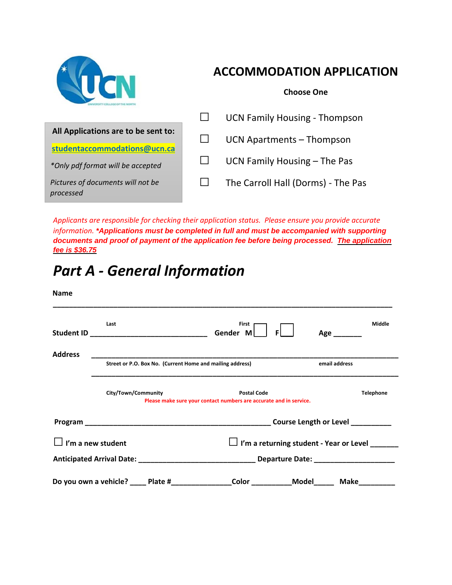

## **ACCOMMODATION APPLICATION**

**Choose One** 

|                                                | <b>UCN Family Housing - Thompson</b> |
|------------------------------------------------|--------------------------------------|
| All Applications are to be sent to:            | UCN Apartments - Thompson            |
| studentaccommodations@ucn.ca                   |                                      |
| *Only pdf format will be accepted              | UCN Family Housing - The Pas         |
| Pictures of documents will not be<br>processed | The Carroll Hall (Dorms) - The Pas   |

*Applicants are responsible for checking their application status. Please ensure you provide accurate information. \*Applications must be completed in full and must be accompanied with supporting documents and proof of payment of the application fee before being processed. The application fee is \$36.75* 

# *Part A ‐ General Information*

| <b>Name</b>              |                                                           |                                                                                          |                     |                  |
|--------------------------|-----------------------------------------------------------|------------------------------------------------------------------------------------------|---------------------|------------------|
|                          | Last                                                      | First<br>Gender M<br><b>FI</b>                                                           | $Age$ <sub>__</sub> | Middle           |
| <b>Address</b>           |                                                           |                                                                                          |                     |                  |
|                          | Street or P.O. Box No. (Current Home and mailing address) |                                                                                          |                     | email address    |
|                          | City/Town/Community                                       | <b>Postal Code</b><br>Please make sure your contact numbers are accurate and in service. |                     | <b>Telephone</b> |
|                          |                                                           |                                                                                          |                     |                  |
| $\Box$ I'm a new student |                                                           | $\Box$ I'm a returning student - Year or Level $\Box$                                    |                     |                  |
|                          |                                                           |                                                                                          |                     |                  |
|                          | Do you own a vehicle? _____ Plate #____________           | Color ______________Model_______                                                         |                     | Make             |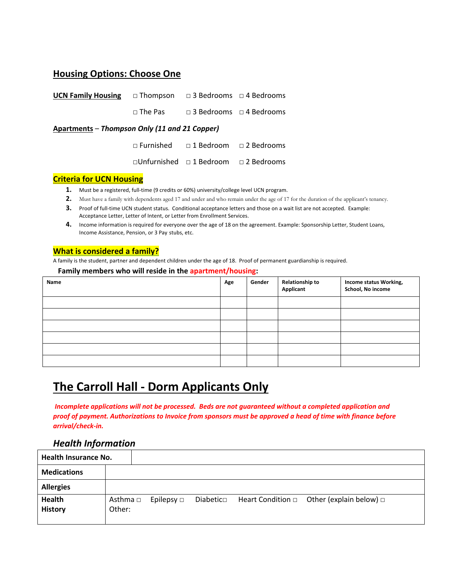### **Housing Options: Choose One**

| <b>UCN Family Housing</b> $\Box$ Thompson $\Box$ 3 Bedrooms $\Box$ 4 Bedrooms |  |                                                     |  |  |  |
|-------------------------------------------------------------------------------|--|-----------------------------------------------------|--|--|--|
|                                                                               |  | $\Box$ The Pas $\Box$ 3 Bedrooms $\Box$ 4 Bedrooms  |  |  |  |
| Apartments – Thompson Only (11 and 21 Copper)                                 |  |                                                     |  |  |  |
|                                                                               |  | $\Box$ Furnished $\Box$ 1 Bedroom $\Box$ 2 Bedrooms |  |  |  |

□Unfurnished □ 1 Bedroom □ 2 Bedrooms

#### **Criteria for UCN Housing**

- 1. Must be a registered, full-time (9 credits or 60%) university/college level UCN program.
- **2.** Must have a family with dependents aged 17 and under and who remain under the age of 17 for the duration of the applicant's tenancy.
- **3.** Proof of full-time UCN student status. Conditional acceptance letters and those on a wait list are not accepted. Example: Acceptance Letter, Letter of Intent, or Letter from Enrollment Services.
- **4.** Income information is required for everyone over the age of 18 on the agreement. Example: Sponsorship Letter, Student Loans, Income Assistance, Pension, or 3 Pay stubs, etc.

#### **What is considered a family?**

A family is the student, partner and dependent children under the age of 18. Proof of permanent guardianship is required.

#### **Family members who will reside in the apartment/housing:**

| Name | Age | Gender | <b>Relationship to</b><br><b>Applicant</b> | Income status Working,<br>School, No income |
|------|-----|--------|--------------------------------------------|---------------------------------------------|
|      |     |        |                                            |                                             |
|      |     |        |                                            |                                             |
|      |     |        |                                            |                                             |
|      |     |        |                                            |                                             |
|      |     |        |                                            |                                             |
|      |     |        |                                            |                                             |

### **The Carroll Hall ‐ Dorm Applicants Only**

 *Incomplete applications will not be processed. Beds are not guaranteed without a completed application and proof of payment. Authorizations to Invoice from sponsors must be approved a head of time with finance before arrival/check‐in.* 

### *Health Information*

| <b>Health Insurance No.</b> |                    |                 |           |                                                     |
|-----------------------------|--------------------|-----------------|-----------|-----------------------------------------------------|
| <b>Medications</b>          |                    |                 |           |                                                     |
| <b>Allergies</b>            |                    |                 |           |                                                     |
| Health<br><b>History</b>    | Asthma □<br>Other: | Epilepsy $\Box$ | Diabetico | Heart Condition $\Box$ Other (explain below) $\Box$ |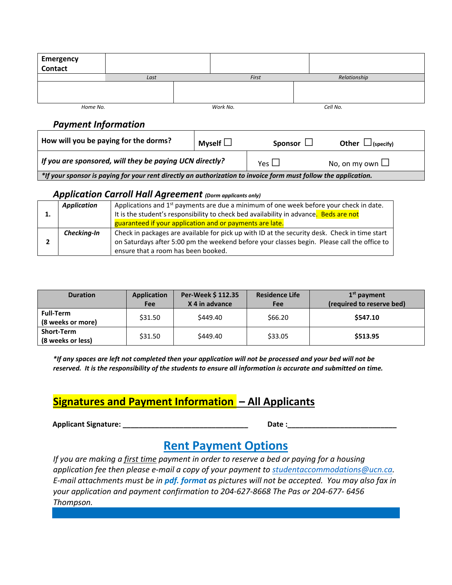| <b>Emergency</b><br>Contact                                                                                     |                                                         |               |                      |                        |  |  |
|-----------------------------------------------------------------------------------------------------------------|---------------------------------------------------------|---------------|----------------------|------------------------|--|--|
|                                                                                                                 | Last                                                    |               | First                | Relationship           |  |  |
|                                                                                                                 |                                                         |               |                      |                        |  |  |
| Home No.                                                                                                        |                                                         | Work No.      |                      | Cell No.               |  |  |
| <b>Payment Information</b>                                                                                      |                                                         |               |                      |                        |  |  |
|                                                                                                                 | How will you be paying for the dorms?                   | Myself $\Box$ | Sponsor $\Box$       | Other $\Box$ (specify) |  |  |
|                                                                                                                 | If you are sponsored, will they be paying UCN directly? | Yes $\Box$    | No, on my own $\Box$ |                        |  |  |
| *If your sponsor is paying for your rent directly an authorization to invoice form must follow the application. |                                                         |               |                      |                        |  |  |

#### *Application Carroll Hall Agreement (Dorm applicants only)*

|   | <b>Application</b> | Applications and $1st$ payments are due a minimum of one week before your check in date.      |  |  |  |
|---|--------------------|-----------------------------------------------------------------------------------------------|--|--|--|
| ∸ |                    | It is the student's responsibility to check bed availability in advance. Beds are not         |  |  |  |
|   |                    | guaranteed if your application and or payments are late.                                      |  |  |  |
|   | Checking-In        | Check in packages are available for pick up with ID at the security desk. Check in time start |  |  |  |
|   |                    | on Saturdays after 5:00 pm the weekend before your classes begin. Please call the office to   |  |  |  |
|   |                    | ensure that a room has been booked.                                                           |  |  |  |

| <b>Duration</b>                        | <b>Application</b><br><b>Fee</b> | Per-Week \$112.35<br>X 4 in advance | <b>Residence Life</b><br>Fee | $1st$ payment<br>(required to reserve bed) |
|----------------------------------------|----------------------------------|-------------------------------------|------------------------------|--------------------------------------------|
| <b>Full-Term</b><br>(8 weeks or more)  | \$31.50                          | \$449.40                            | \$66.20                      | \$547.10                                   |
| <b>Short-Term</b><br>(8 weeks or less) | \$31.50                          | \$449.40                            | \$33.05                      | \$513.95                                   |

*\*If any spaces are left not completed then your application will not be processed and your bed will not be reserved. It is the responsibility of the students to ensure all information is accurate and submitted on time.*

### **Signatures and Payment Information – All Applicants**

| <b>Applicant Signature:</b> | Date |  |
|-----------------------------|------|--|
|                             |      |  |

### **Rent Payment Options**

*If you are making a first time payment in order to reserve a bed or paying for a housing application fee then please e‐mail a copy of your payment to studentaccommodations@ucn.ca. E‐mail attachments must be in pdf. format as pictures will not be accepted. You may also fax in your application and payment confirmation to 204‐627‐8668 The Pas or 204‐677‐ 6456 Thompson.*